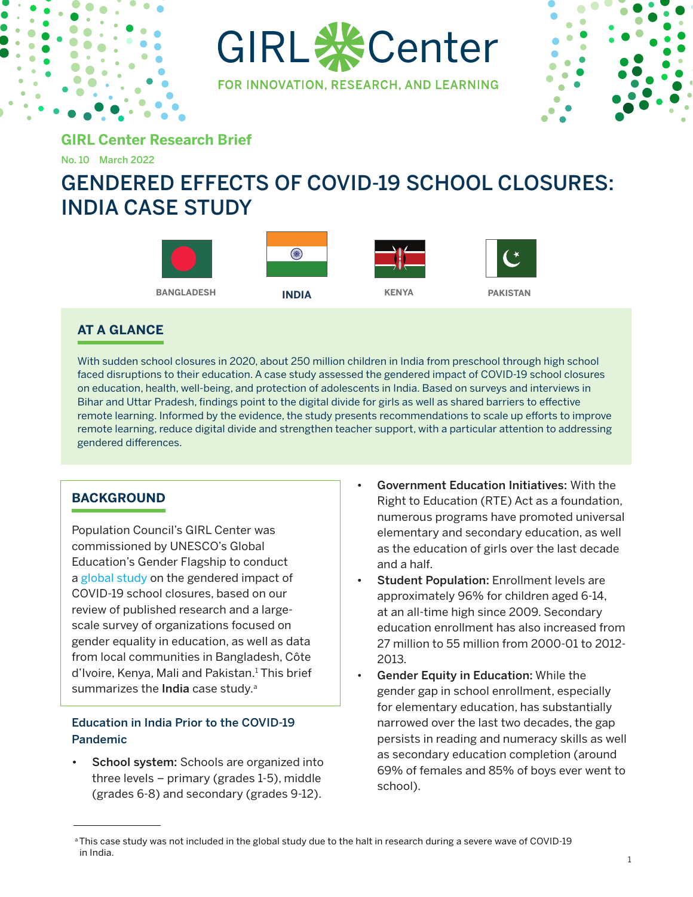

GIRL **※Center** 

FOR INNOVATION, RESEARCH, AND LEARNING



**GIRL Center Research Brief**

No. 10 March 2022

# GENDERED EFFECTS OF COVID-19 SCHOOL CLOSURES: INDIA CASE STUDY



# **AT A GLANCE**

With sudden school closures in 2020, about 250 million children in India from preschool through high school faced disruptions to their education. A case study assessed the gendered impact of COVID-19 school closures on education, health, well-being, and protection of adolescents in India. Based on surveys and interviews in Bihar and Uttar Pradesh, findings point to the digital divide for girls as well as shared barriers to effective remote learning. Informed by the evidence, the study presents recommendations to scale up efforts to improve remote learning, reduce digital divide and strengthen teacher support, with a particular attention to addressing gendered differences.

# **BACKGROUND**

Population Council's GIRL Center was commissioned by UNESCO's Global Education's Gender Flagship to conduct a [global study](https://unesdoc.unesco.org/ark:/48223/pf0000379270) on the gendered impact of COVID-19 school closures, based on our review of published research and a largescale survey of organizations focused on gender equality in education, as well as data from local communities in Bangladesh, Côte d'Ivoire, Kenya, Mali and Pakistan.<sup>1</sup> This brief summarizes the India case study.<sup>a</sup>

## Education in India Prior to the COVID-19 Pandemic

School system: Schools are organized into three levels – primary (grades 1-5), middle (grades 6-8) and secondary (grades 9-12).

- Government Education Initiatives: With the Right to Education (RTE) Act as a foundation, numerous programs have promoted universal elementary and secondary education, as well as the education of girls over the last decade and a half.
- Student Population: Enrollment levels are approximately 96% for children aged 6-14, at an all-time high since 2009. Secondary education enrollment has also increased from 27 million to 55 million from 2000-01 to 2012- 2013.
- Gender Equity in Education: While the gender gap in school enrollment, especially for elementary education, has substantially narrowed over the last two decades, the gap persists in reading and numeracy skills as well as secondary education completion (around 69% of females and 85% of boys ever went to school).

a This case study was not included in the global study due to the halt in research during a severe wave of COVID-19 in India.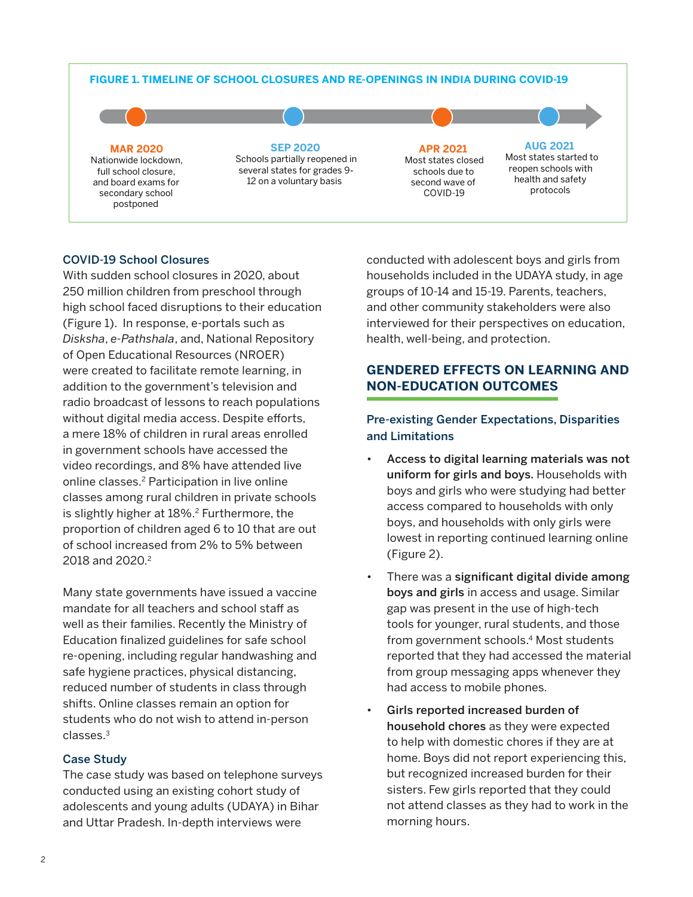#### **FIGURE 1. TIMELINE OF SCHOOL CLOSURES AND RE-OPENINGS IN INDIA DURING COVID-19**



## COVID-19 School Closures

With sudden school closures in 2020, about 250 million children from preschool through high school faced disruptions to their education (Figure 1). In response, e-portals such as *Disksha*, *e-Pathshala*, and, National Repository of Open Educational Resources (NROER) were created to facilitate remote learning, in addition to the government's television and radio broadcast of lessons to reach populations without digital media access. Despite efforts, a mere 18% of children in rural areas enrolled in government schools have accessed the video recordings, and 8% have attended live online classes.2 Participation in live online classes among rural children in private schools is slightly higher at 18%.<sup>2</sup> Furthermore, the proportion of children aged 6 to 10 that are out of school increased from 2% to 5% between 2018 and 2020.<sup>2</sup>

Many state governments have issued a vaccine mandate for all teachers and school staff as well as their families. Recently the Ministry of Education finalized guidelines for safe school re-opening, including regular handwashing and safe hygiene practices, physical distancing, reduced number of students in class through shifts. Online classes remain an option for students who do not wish to attend in-person classes.3

## Case Study

The case study was based on telephone surveys conducted using an existing cohort study of adolescents and young adults (UDAYA) in Bihar and Uttar Pradesh. In-depth interviews were

conducted with adolescent boys and girls from households included in the UDAYA study, in age groups of 10-14 and 15-19. Parents, teachers, and other community stakeholders were also interviewed for their perspectives on education, health, well-being, and protection.

# **GENDERED EFFECTS ON LEARNING AND NON-EDUCATION OUTCOMES**

# Pre-existing Gender Expectations, Disparities and Limitations

- Access to digital learning materials was not uniform for girls and boys. Households with boys and girls who were studying had better access compared to households with only boys, and households with only girls were lowest in reporting continued learning online (Figure 2).
- There was a significant digital divide among boys and girls in access and usage. Similar gap was present in the use of high-tech tools for younger, rural students, and those from government schools.4 Most students reported that they had accessed the material from group messaging apps whenever they had access to mobile phones.
- Girls reported increased burden of household chores as they were expected to help with domestic chores if they are at home. Boys did not report experiencing this, but recognized increased burden for their sisters. Few girls reported that they could not attend classes as they had to work in the morning hours.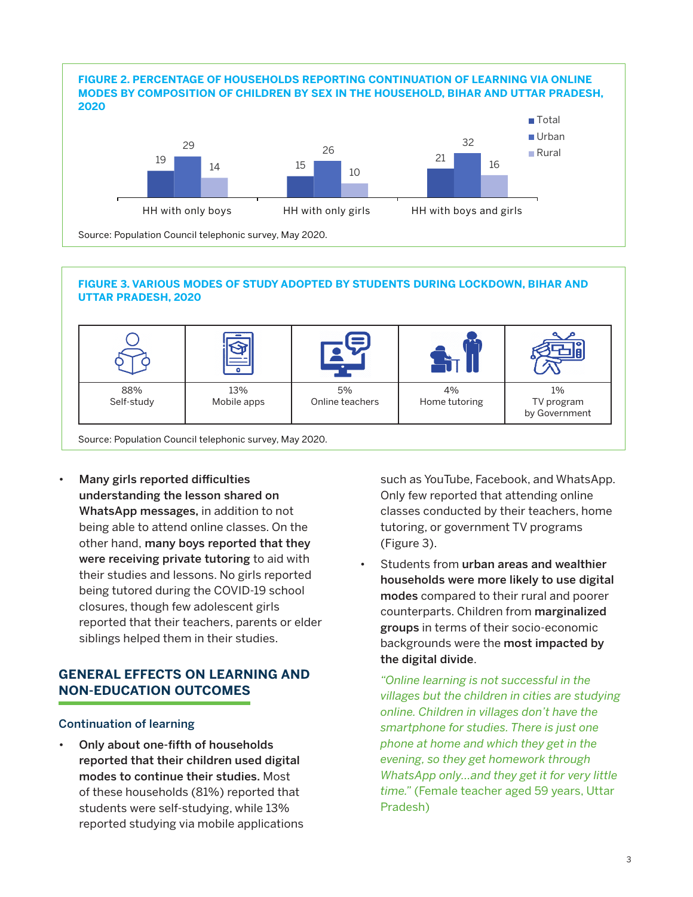

#### **FIGURE 3. VARIOUS MODES OF STUDY ADOPTED BY STUDENTS DURING LOCKDOWN, BIHAR AND UTTAR PRADESH, 2020**

|                   | o                  |                       |                     |                                   |
|-------------------|--------------------|-----------------------|---------------------|-----------------------------------|
| 88%<br>Self-study | 13%<br>Mobile apps | 5%<br>Online teachers | 4%<br>Home tutoring | 1%<br>TV program<br>by Government |

Source: Population Council telephonic survey, May 2020.

• Many girls reported difficulties understanding the lesson shared on WhatsApp messages, in addition to not being able to attend online classes. On the other hand, many boys reported that they were receiving private tutoring to aid with their studies and lessons. No girls reported being tutored during the COVID-19 school closures, though few adolescent girls reported that their teachers, parents or elder siblings helped them in their studies.

## **GENERAL EFFECTS ON LEARNING AND NON-EDUCATION OUTCOMES**

#### Continuation of learning

• Only about one-fifth of households reported that their children used digital modes to continue their studies. Most of these households (81%) reported that students were self-studying, while 13% reported studying via mobile applications

such as YouTube, Facebook, and WhatsApp. Only few reported that attending online classes conducted by their teachers, home tutoring, or government TV programs (Figure 3).

Students from urban areas and wealthier households were more likely to use digital modes compared to their rural and poorer counterparts. Children from marginalized groups in terms of their socio-economic backgrounds were the most impacted by the digital divide.

*"Online learning is not successful in the villages but the children in cities are studying online. Children in villages don't have the smartphone for studies. There is just one phone at home and which they get in the evening, so they get homework through WhatsApp only…and they get it for very little time."* (Female teacher aged 59 years, Uttar Pradesh)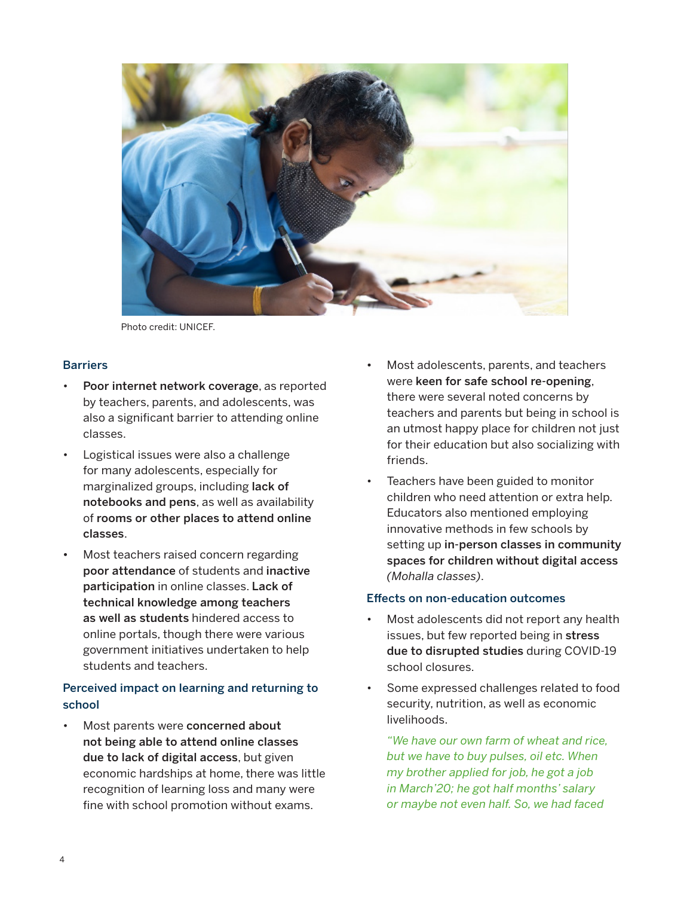

Photo credit: UNICEF.

#### **Barriers**

- Poor internet network coverage, as reported by teachers, parents, and adolescents, was also a significant barrier to attending online classes.
- Logistical issues were also a challenge for many adolescents, especially for marginalized groups, including lack of notebooks and pens, as well as availability of rooms or other places to attend online classes.
- Most teachers raised concern regarding poor attendance of students and inactive participation in online classes. Lack of technical knowledge among teachers as well as students hindered access to online portals, though there were various government initiatives undertaken to help students and teachers.

## Perceived impact on learning and returning to school

Most parents were concerned about not being able to attend online classes due to lack of digital access, but given economic hardships at home, there was little recognition of learning loss and many were fine with school promotion without exams.

- Most adolescents, parents, and teachers were keen for safe school re-opening, there were several noted concerns by teachers and parents but being in school is an utmost happy place for children not just for their education but also socializing with friends.
- Teachers have been guided to monitor children who need attention or extra help. Educators also mentioned employing innovative methods in few schools by setting up in-person classes in community spaces for children without digital access *(Mohalla classes)*.

#### Effects on non-education outcomes

- Most adolescents did not report any health issues, but few reported being in stress due to disrupted studies during COVID-19 school closures.
- Some expressed challenges related to food security, nutrition, as well as economic livelihoods.

*"We have our own farm of wheat and rice, but we have to buy pulses, oil etc. When my brother applied for job, he got a job in March'20; he got half months' salary or maybe not even half. So, we had faced*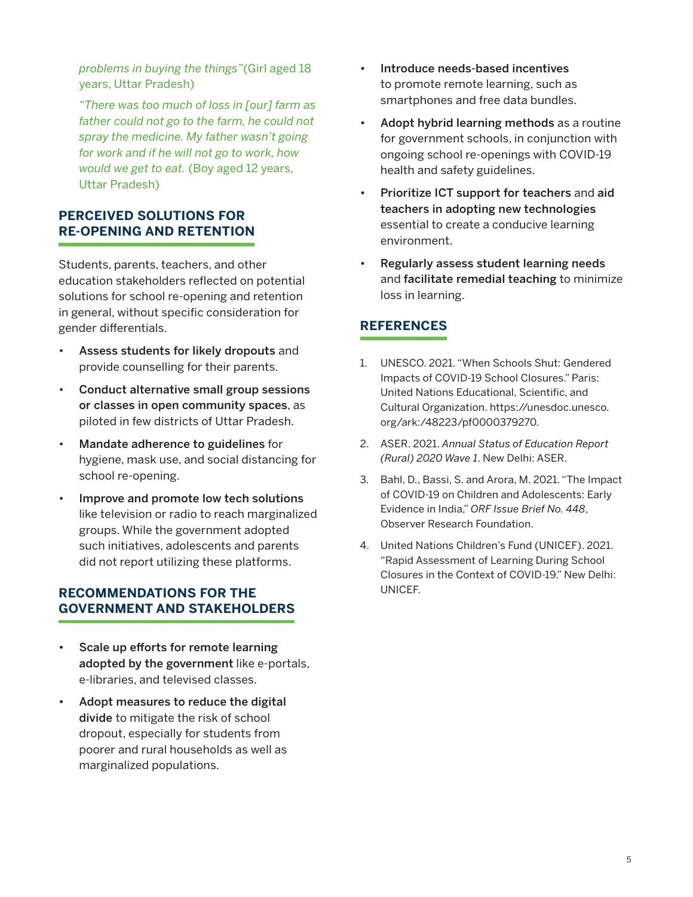*problems in buying the things"*(Girl aged 18 years, Uttar Pradesh)

*"There was too much of loss in [our] farm as father could not go to the farm, he could not spray the medicine. My father wasn't going for work and if he will not go to work, how would we get to eat.* (Boy aged 12 years, Uttar Pradesh)

## **PERCEIVED SOLUTIONS FOR RE-OPENING AND RETENTION**

Students, parents, teachers, and other education stakeholders reflected on potential solutions for school re-opening and retention in general, without specific consideration for gender differentials.

- Assess students for likely dropouts and provide counselling for their parents.
- Conduct alternative small group sessions or classes in open community spaces, as piloted in few districts of Uttar Pradesh.
- Mandate adherence to guidelines for hygiene, mask use, and social distancing for school re-opening.
- Improve and promote low tech solutions like television or radio to reach marginalized groups. While the government adopted such initiatives, adolescents and parents did not report utilizing these platforms.

## **RECOMMENDATIONS FOR THE GOVERNMENT AND STAKEHOLDERS**

- Scale up efforts for remote learning adopted by the government like e-portals, e-libraries, and televised classes.
- Adopt measures to reduce the digital divide to mitigate the risk of school dropout, especially for students from poorer and rural households as well as marginalized populations.
- Introduce needs-based incentives to promote remote learning, such as smartphones and free data bundles.
- Adopt hybrid learning methods as a routine for government schools, in conjunction with ongoing school re-openings with COVID-19 health and safety guidelines.
- Prioritize ICT support for teachers and aid teachers in adopting new technologies essential to create a conducive learning environment.
- Regularly assess student learning needs and facilitate remedial teaching to minimize loss in learning.

## **REFERENCES**

- 1. UNESCO. 2021. "When Schools Shut: Gendered Impacts of COVID-19 School Closures." Paris: United Nations Educational, Scientific, and Cultural Organization. [https://unesdoc.unesco.](https://unesdoc.unesco.org/ark:/48223/pf0000379270) [org/ark:/48223/pf0000379270](https://unesdoc.unesco.org/ark:/48223/pf0000379270).
- 2. ASER. 2021. *Annual Status of Education Report (Rural) 2020 Wave 1*. New Delhi: ASER.
- 3. Bahl, D., Bassi, S. and Arora, M. 2021. "The Impact of COVID-19 on Children and Adolescents: Early Evidence in India," *ORF Issue Brief No. 448*, Observer Research Foundation.
- 4. United Nations Children's Fund (UNICEF). 2021. "Rapid Assessment of Learning During School Closures in the Context of COVID-19." New Delhi: UNICEF.